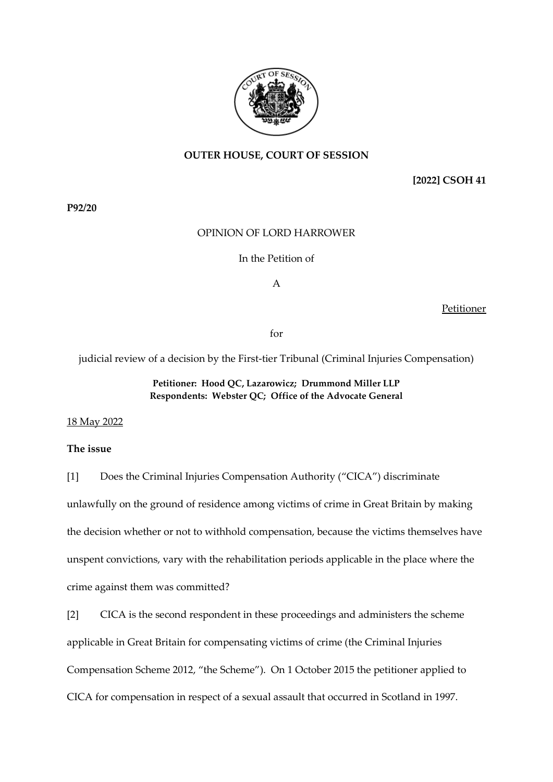

# **OUTER HOUSE, COURT OF SESSION**

**[2022] CSOH 41**

**P92/20**

## OPINION OF LORD HARROWER

#### In the Petition of

A

Petitioner

for

judicial review of a decision by the First-tier Tribunal (Criminal Injuries Compensation)

# **Petitioner: Hood QC, Lazarowicz; Drummond Miller LLP Respondents: Webster QC; Office of the Advocate General**

## 18 May 2022

# **The issue**

[1] Does the Criminal Injuries Compensation Authority ("CICA") discriminate

unlawfully on the ground of residence among victims of crime in Great Britain by making the decision whether or not to withhold compensation, because the victims themselves have unspent convictions, vary with the rehabilitation periods applicable in the place where the crime against them was committed?

[2] CICA is the second respondent in these proceedings and administers the scheme applicable in Great Britain for compensating victims of crime (the Criminal Injuries Compensation Scheme 2012, "the Scheme"). On 1 October 2015 the petitioner applied to CICA for compensation in respect of a sexual assault that occurred in Scotland in 1997.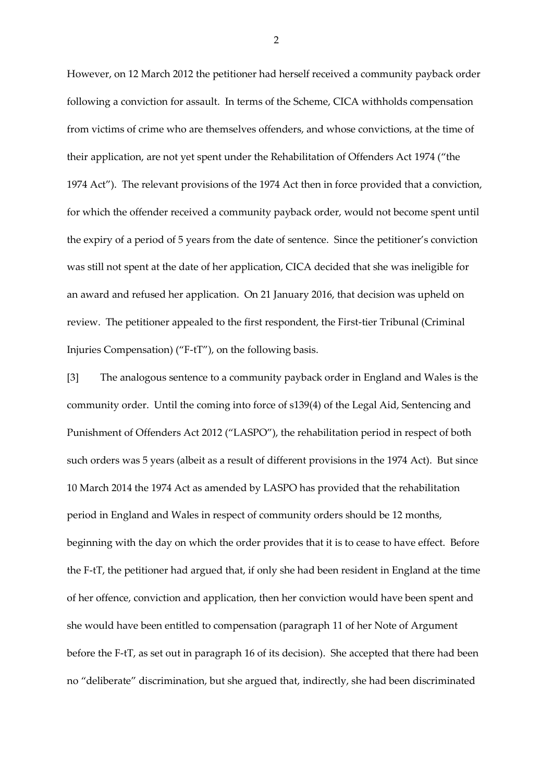However, on 12 March 2012 the petitioner had herself received a community payback order following a conviction for assault. In terms of the Scheme, CICA withholds compensation from victims of crime who are themselves offenders, and whose convictions, at the time of their application, are not yet spent under the Rehabilitation of Offenders Act 1974 ("the 1974 Act"). The relevant provisions of the 1974 Act then in force provided that a conviction, for which the offender received a community payback order, would not become spent until the expiry of a period of 5 years from the date of sentence. Since the petitioner's conviction was still not spent at the date of her application, CICA decided that she was ineligible for an award and refused her application. On 21 January 2016, that decision was upheld on review. The petitioner appealed to the first respondent, the First-tier Tribunal (Criminal Injuries Compensation) ("F-tT"), on the following basis.

[3] The analogous sentence to a community payback order in England and Wales is the community order. Until the coming into force of s139(4) of the Legal Aid, Sentencing and Punishment of Offenders Act 2012 ("LASPO"), the rehabilitation period in respect of both such orders was 5 years (albeit as a result of different provisions in the 1974 Act). But since 10 March 2014 the 1974 Act as amended by LASPO has provided that the rehabilitation period in England and Wales in respect of community orders should be 12 months, beginning with the day on which the order provides that it is to cease to have effect. Before the F-tT, the petitioner had argued that, if only she had been resident in England at the time of her offence, conviction and application, then her conviction would have been spent and she would have been entitled to compensation (paragraph 11 of her Note of Argument before the F-tT, as set out in paragraph 16 of its decision). She accepted that there had been no "deliberate" discrimination, but she argued that, indirectly, she had been discriminated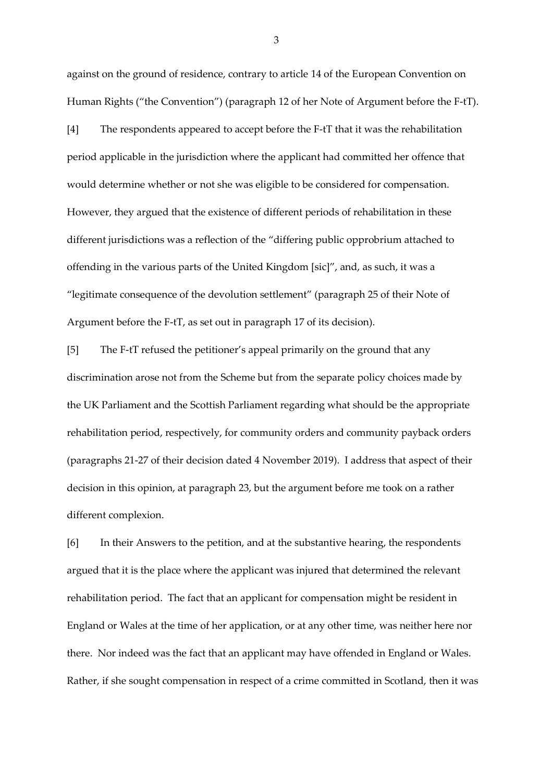against on the ground of residence, contrary to article 14 of the European Convention on Human Rights ("the Convention") (paragraph 12 of her Note of Argument before the F-tT).

[4] The respondents appeared to accept before the F-tT that it was the rehabilitation period applicable in the jurisdiction where the applicant had committed her offence that would determine whether or not she was eligible to be considered for compensation. However, they argued that the existence of different periods of rehabilitation in these different jurisdictions was a reflection of the "differing public opprobrium attached to offending in the various parts of the United Kingdom [sic]", and, as such, it was a "legitimate consequence of the devolution settlement" (paragraph 25 of their Note of Argument before the F-tT, as set out in paragraph 17 of its decision).

[5] The F-tT refused the petitioner's appeal primarily on the ground that any discrimination arose not from the Scheme but from the separate policy choices made by the UK Parliament and the Scottish Parliament regarding what should be the appropriate rehabilitation period, respectively, for community orders and community payback orders (paragraphs 21-27 of their decision dated 4 November 2019). I address that aspect of their decision in this opinion, at paragraph 23, but the argument before me took on a rather different complexion.

[6] In their Answers to the petition, and at the substantive hearing, the respondents argued that it is the place where the applicant was injured that determined the relevant rehabilitation period. The fact that an applicant for compensation might be resident in England or Wales at the time of her application, or at any other time, was neither here nor there. Nor indeed was the fact that an applicant may have offended in England or Wales. Rather, if she sought compensation in respect of a crime committed in Scotland, then it was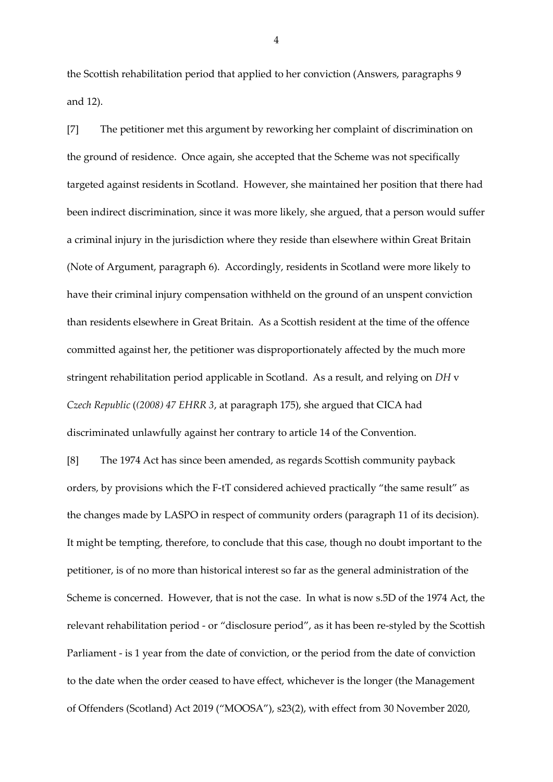the Scottish rehabilitation period that applied to her conviction (Answers, paragraphs 9 and 12).

[7] The petitioner met this argument by reworking her complaint of discrimination on the ground of residence. Once again, she accepted that the Scheme was not specifically targeted against residents in Scotland. However, she maintained her position that there had been indirect discrimination, since it was more likely, she argued, that a person would suffer a criminal injury in the jurisdiction where they reside than elsewhere within Great Britain (Note of Argument, paragraph 6). Accordingly, residents in Scotland were more likely to have their criminal injury compensation withheld on the ground of an unspent conviction than residents elsewhere in Great Britain. As a Scottish resident at the time of the offence committed against her, the petitioner was disproportionately affected by the much more stringent rehabilitation period applicable in Scotland. As a result, and relying on *DH* v *Czech Republic* (*(2008) 47 EHRR 3*, at paragraph 175), she argued that CICA had discriminated unlawfully against her contrary to article 14 of the Convention.

[8] The 1974 Act has since been amended, as regards Scottish community payback orders, by provisions which the F-tT considered achieved practically "the same result" as the changes made by LASPO in respect of community orders (paragraph 11 of its decision). It might be tempting, therefore, to conclude that this case, though no doubt important to the petitioner, is of no more than historical interest so far as the general administration of the Scheme is concerned. However, that is not the case. In what is now s.5D of the 1974 Act, the relevant rehabilitation period - or "disclosure period", as it has been re-styled by the Scottish Parliament - is 1 year from the date of conviction, or the period from the date of conviction to the date when the order ceased to have effect, whichever is the longer (the Management of Offenders (Scotland) Act 2019 ("MOOSA"), s23(2), with effect from 30 November 2020,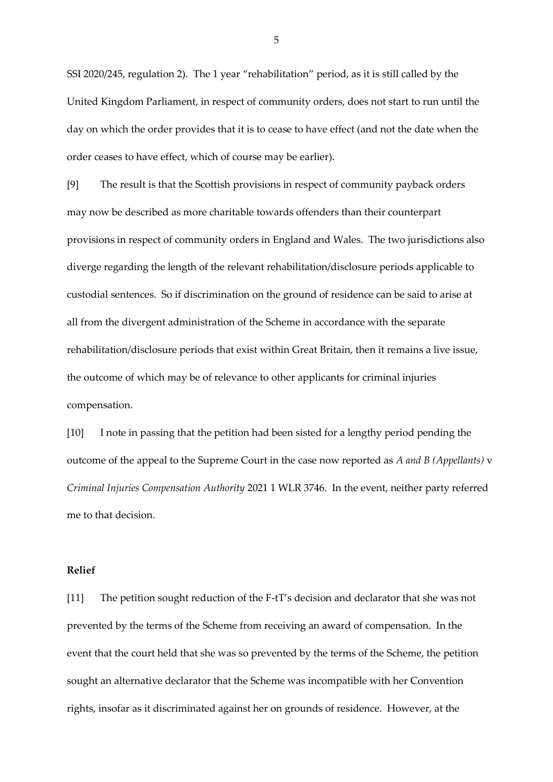SSI 2020/245, regulation 2). The 1 year "rehabilitation" period, as it is still called by the United Kingdom Parliament, in respect of community orders, does not start to run until the day on which the order provides that it is to cease to have effect (and not the date when the order ceases to have effect, which of course may be earlier).

[9] The result is that the Scottish provisions in respect of community payback orders may now be described as more charitable towards offenders than their counterpart provisions in respect of community orders in England and Wales. The two jurisdictions also diverge regarding the length of the relevant rehabilitation/disclosure periods applicable to custodial sentences. So if discrimination on the ground of residence can be said to arise at all from the divergent administration of the Scheme in accordance with the separate rehabilitation/disclosure periods that exist within Great Britain, then it remains a live issue, the outcome of which may be of relevance to other applicants for criminal injuries compensation.

[10] I note in passing that the petition had been sisted for a lengthy period pending the outcome of the appeal to the Supreme Court in the case now reported as *A and B (Appellants)* v *Criminal Injuries Compensation Authority* 2021 1 WLR 3746. In the event, neither party referred me to that decision.

# **Relief**

[11] The petition sought reduction of the F-tT's decision and declarator that she was not prevented by the terms of the Scheme from receiving an award of compensation. In the event that the court held that she was so prevented by the terms of the Scheme, the petition sought an alternative declarator that the Scheme was incompatible with her Convention rights, insofar as it discriminated against her on grounds of residence. However, at the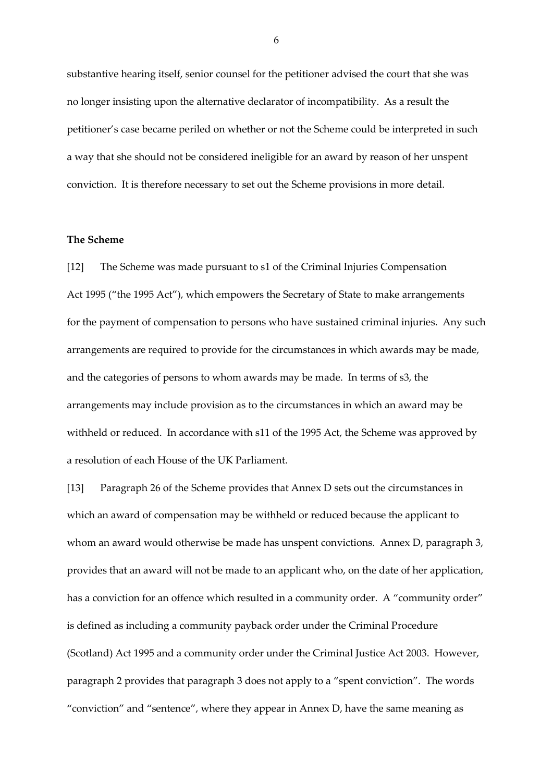substantive hearing itself, senior counsel for the petitioner advised the court that she was no longer insisting upon the alternative declarator of incompatibility. As a result the petitioner's case became periled on whether or not the Scheme could be interpreted in such a way that she should not be considered ineligible for an award by reason of her unspent conviction. It is therefore necessary to set out the Scheme provisions in more detail.

## **The Scheme**

[12] The Scheme was made pursuant to s1 of the Criminal Injuries Compensation Act 1995 ("the 1995 Act"), which empowers the Secretary of State to make arrangements for the payment of compensation to persons who have sustained criminal injuries. Any such arrangements are required to provide for the circumstances in which awards may be made, and the categories of persons to whom awards may be made. In terms of s3, the arrangements may include provision as to the circumstances in which an award may be withheld or reduced. In accordance with s11 of the 1995 Act, the Scheme was approved by a resolution of each House of the UK Parliament.

[13] Paragraph 26 of the Scheme provides that Annex D sets out the circumstances in which an award of compensation may be withheld or reduced because the applicant to whom an award would otherwise be made has unspent convictions. Annex D, paragraph 3, provides that an award will not be made to an applicant who, on the date of her application, has a conviction for an offence which resulted in a community order. A "community order" is defined as including a community payback order under the Criminal Procedure (Scotland) Act 1995 and a community order under the Criminal Justice Act 2003. However, paragraph 2 provides that paragraph 3 does not apply to a "spent conviction". The words "conviction" and "sentence", where they appear in Annex D, have the same meaning as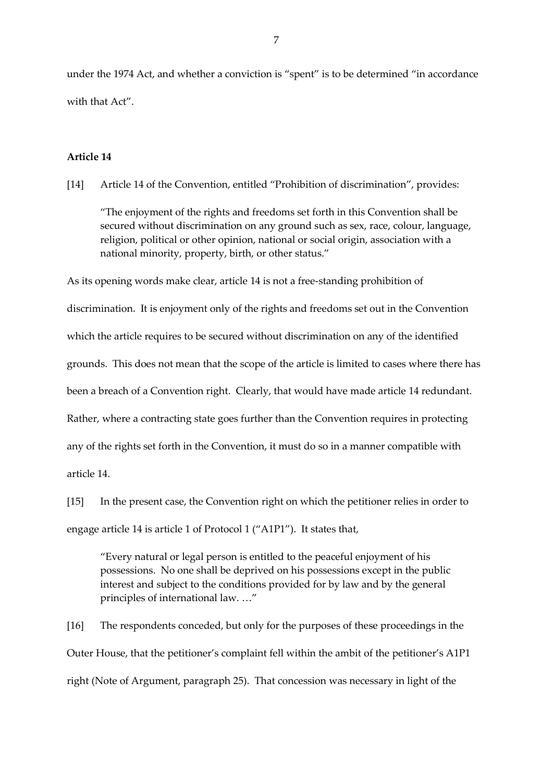under the 1974 Act, and whether a conviction is "spent" is to be determined "in accordance with that Act".

# **Article 14**

[14] Article 14 of the Convention, entitled "Prohibition of discrimination", provides:

"The enjoyment of the rights and freedoms set forth in this Convention shall be secured without discrimination on any ground such as sex, race, colour, language, religion, political or other opinion, national or social origin, association with a national minority, property, birth, or other status."

As its opening words make clear, article 14 is not a free-standing prohibition of discrimination. It is enjoyment only of the rights and freedoms set out in the Convention which the article requires to be secured without discrimination on any of the identified grounds. This does not mean that the scope of the article is limited to cases where there has been a breach of a Convention right. Clearly, that would have made article 14 redundant. Rather, where a contracting state goes further than the Convention requires in protecting any of the rights set forth in the Convention, it must do so in a manner compatible with article 14.

[15] In the present case, the Convention right on which the petitioner relies in order to engage article 14 is article 1 of Protocol 1 ("A1P1"). It states that,

"Every natural or legal person is entitled to the peaceful enjoyment of his possessions. No one shall be deprived on his possessions except in the public interest and subject to the conditions provided for by law and by the general principles of international law. …"

[16] The respondents conceded, but only for the purposes of these proceedings in the Outer House, that the petitioner's complaint fell within the ambit of the petitioner's A1P1 right (Note of Argument, paragraph 25). That concession was necessary in light of the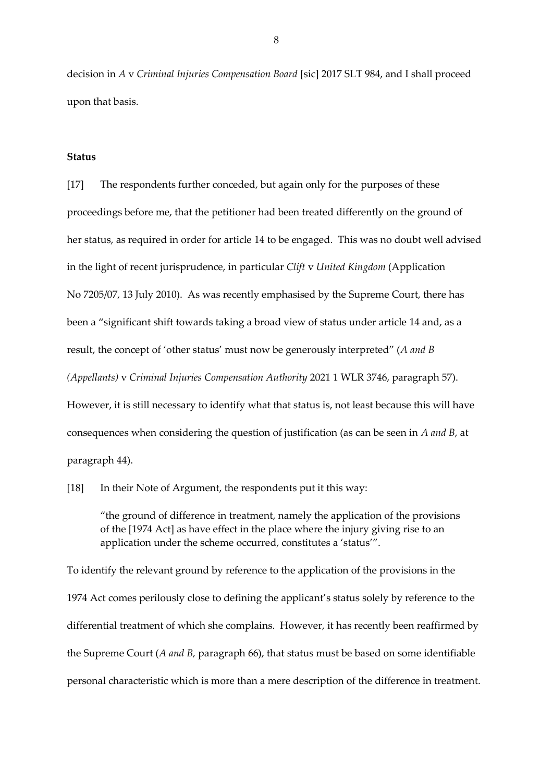decision in *A* v *Criminal Injuries Compensation Board* [sic] 2017 SLT 984, and I shall proceed upon that basis.

#### **Status**

[17] The respondents further conceded, but again only for the purposes of these proceedings before me, that the petitioner had been treated differently on the ground of her status, as required in order for article 14 to be engaged. This was no doubt well advised in the light of recent jurisprudence, in particular *Clift* v *United Kingdom* (Application No 7205/07, 13 July 2010). As was recently emphasised by the Supreme Court, there has been a "significant shift towards taking a broad view of status under article 14 and, as a result, the concept of 'other status' must now be generously interpreted" (*A and B (Appellants)* v *Criminal Injuries Compensation Authority* 2021 1 WLR 3746, paragraph 57). However, it is still necessary to identify what that status is, not least because this will have consequences when considering the question of justification (as can be seen in *A and B*, at

paragraph 44).

[18] In their Note of Argument, the respondents put it this way:

"the ground of difference in treatment, namely the application of the provisions of the [1974 Act] as have effect in the place where the injury giving rise to an application under the scheme occurred, constitutes a 'status'".

To identify the relevant ground by reference to the application of the provisions in the 1974 Act comes perilously close to defining the applicant's status solely by reference to the differential treatment of which she complains. However, it has recently been reaffirmed by the Supreme Court (*A and B,* paragraph 66), that status must be based on some identifiable personal characteristic which is more than a mere description of the difference in treatment.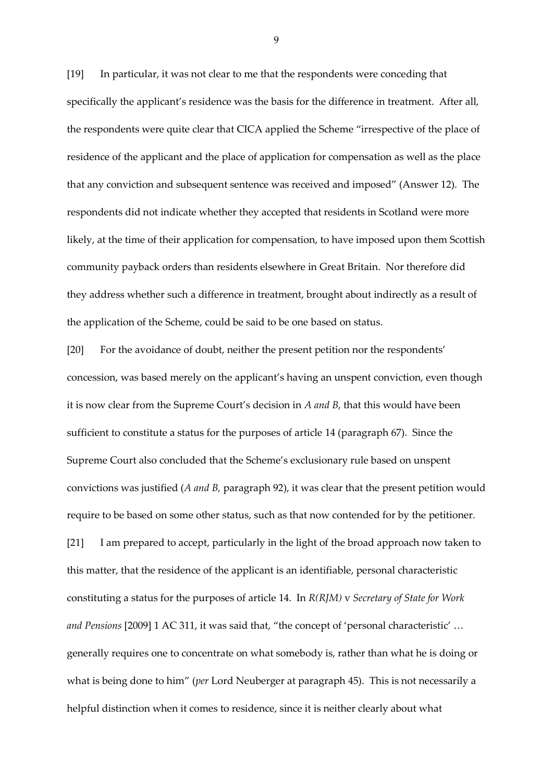[19] In particular, it was not clear to me that the respondents were conceding that specifically the applicant's residence was the basis for the difference in treatment. After all, the respondents were quite clear that CICA applied the Scheme "irrespective of the place of residence of the applicant and the place of application for compensation as well as the place that any conviction and subsequent sentence was received and imposed" (Answer 12). The respondents did not indicate whether they accepted that residents in Scotland were more likely, at the time of their application for compensation, to have imposed upon them Scottish community payback orders than residents elsewhere in Great Britain. Nor therefore did they address whether such a difference in treatment, brought about indirectly as a result of the application of the Scheme, could be said to be one based on status.

[20] For the avoidance of doubt, neither the present petition nor the respondents' concession, was based merely on the applicant's having an unspent conviction, even though it is now clear from the Supreme Court's decision in *A and B*, that this would have been sufficient to constitute a status for the purposes of article 14 (paragraph 67). Since the Supreme Court also concluded that the Scheme's exclusionary rule based on unspent convictions was justified (*A and B,* paragraph 92), it was clear that the present petition would require to be based on some other status, such as that now contended for by the petitioner. [21] I am prepared to accept, particularly in the light of the broad approach now taken to this matter, that the residence of the applicant is an identifiable, personal characteristic

constituting a status for the purposes of article 14. In *R(RJM)* v *Secretary of State for Work and Pensions* [2009] 1 AC 311, it was said that, "the concept of 'personal characteristic' … generally requires one to concentrate on what somebody is, rather than what he is doing or what is being done to him" (*per* Lord Neuberger at paragraph 45). This is not necessarily a helpful distinction when it comes to residence, since it is neither clearly about what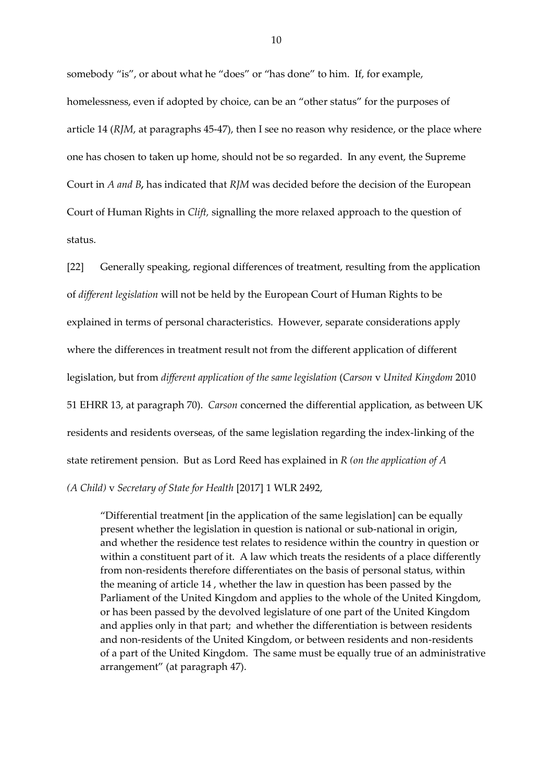somebody "is", or about what he "does" or "has done" to him. If, for example, homelessness, even if adopted by choice, can be an "other status" for the purposes of article 14 (*RJM*, at paragraphs 45-47), then I see no reason why residence, or the place where one has chosen to taken up home, should not be so regarded. In any event, the Supreme Court in *A and B,* has indicated that *RJM* was decided before the decision of the European Court of Human Rights in *Clift,* signalling the more relaxed approach to the question of status.

[22] Generally speaking, regional differences of treatment, resulting from the application of *different legislation* will not be held by the European Court of Human Rights to be explained in terms of personal characteristics. However, separate considerations apply where the differences in treatment result not from the different application of different legislation, but from *different application of the same legislation* (*Carson* v *United Kingdom* 2010 51 EHRR 13, at paragraph 70). *Carson* concerned the differential application, as between UK residents and residents overseas, of the same legislation regarding the index-linking of the state retirement pension. But as Lord Reed has explained in *R (on the application of A (A Child)* v *Secretary of State for Health* [2017] 1 WLR 2492,

"Differential treatment [in the application of the same legislation] can be equally present whether the legislation in question is national or sub-national in origin, and whether the residence test relates to residence within the country in question or within a constituent part of it. A law which treats the residents of a place differently from non-residents therefore differentiates on the basis of personal status, within the meaning of article 14 , whether the law in question has been passed by the Parliament of the United Kingdom and applies to the whole of the United Kingdom, or has been passed by the devolved legislature of one part of the United Kingdom and applies only in that part; and whether the differentiation is between residents and non-residents of the United Kingdom, or between residents and non-residents of a part of the United Kingdom. The same must be equally true of an administrative arrangement" (at paragraph 47).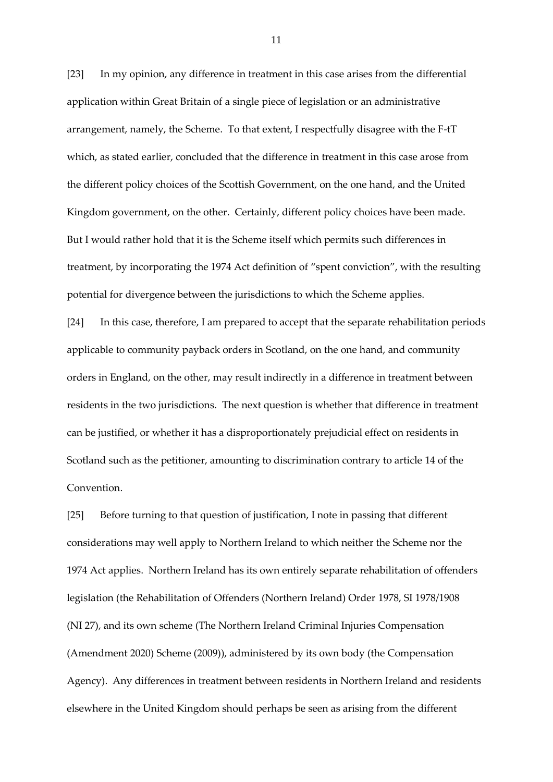[23] In my opinion, any difference in treatment in this case arises from the differential application within Great Britain of a single piece of legislation or an administrative arrangement, namely, the Scheme. To that extent, I respectfully disagree with the F-tT which, as stated earlier, concluded that the difference in treatment in this case arose from the different policy choices of the Scottish Government, on the one hand, and the United Kingdom government, on the other. Certainly, different policy choices have been made. But I would rather hold that it is the Scheme itself which permits such differences in treatment, by incorporating the 1974 Act definition of "spent conviction", with the resulting potential for divergence between the jurisdictions to which the Scheme applies.

[24] In this case, therefore, I am prepared to accept that the separate rehabilitation periods applicable to community payback orders in Scotland, on the one hand, and community orders in England, on the other, may result indirectly in a difference in treatment between residents in the two jurisdictions. The next question is whether that difference in treatment can be justified, or whether it has a disproportionately prejudicial effect on residents in Scotland such as the petitioner, amounting to discrimination contrary to article 14 of the Convention.

[25] Before turning to that question of justification, I note in passing that different considerations may well apply to Northern Ireland to which neither the Scheme nor the 1974 Act applies. Northern Ireland has its own entirely separate rehabilitation of offenders legislation (the Rehabilitation of Offenders (Northern Ireland) Order 1978, SI 1978/1908 (NI 27), and its own scheme (The Northern Ireland Criminal Injuries Compensation (Amendment 2020) Scheme (2009)), administered by its own body (the Compensation Agency). Any differences in treatment between residents in Northern Ireland and residents elsewhere in the United Kingdom should perhaps be seen as arising from the different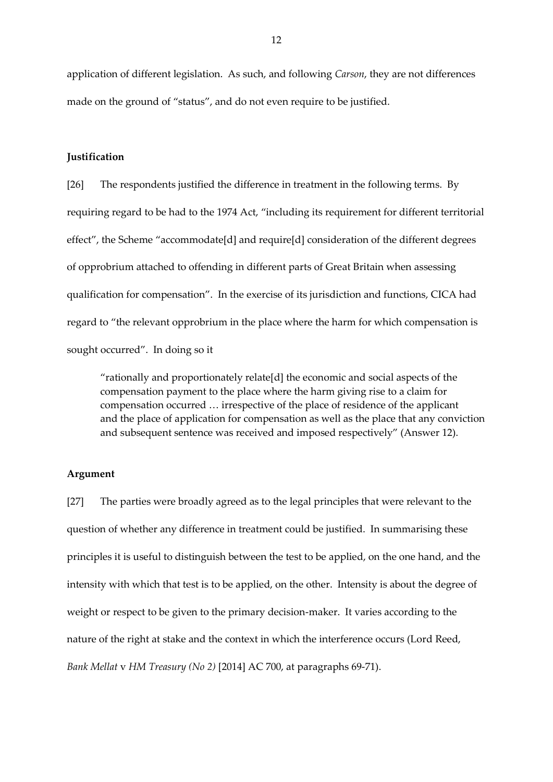application of different legislation. As such, and following *Carson*, they are not differences made on the ground of "status", and do not even require to be justified.

#### **Justification**

[26] The respondents justified the difference in treatment in the following terms. By requiring regard to be had to the 1974 Act, "including its requirement for different territorial effect", the Scheme "accommodate[d] and require[d] consideration of the different degrees of opprobrium attached to offending in different parts of Great Britain when assessing qualification for compensation". In the exercise of its jurisdiction and functions, CICA had regard to "the relevant opprobrium in the place where the harm for which compensation is sought occurred". In doing so it

"rationally and proportionately relate[d] the economic and social aspects of the compensation payment to the place where the harm giving rise to a claim for compensation occurred … irrespective of the place of residence of the applicant and the place of application for compensation as well as the place that any conviction and subsequent sentence was received and imposed respectively" (Answer 12).

#### **Argument**

[27] The parties were broadly agreed as to the legal principles that were relevant to the question of whether any difference in treatment could be justified. In summarising these principles it is useful to distinguish between the test to be applied, on the one hand, and the intensity with which that test is to be applied, on the other. Intensity is about the degree of weight or respect to be given to the primary decision-maker. It varies according to the nature of the right at stake and the context in which the interference occurs (Lord Reed, *Bank Mellat* v *HM Treasury (No 2)* [2014] AC 700, at paragraphs 69-71).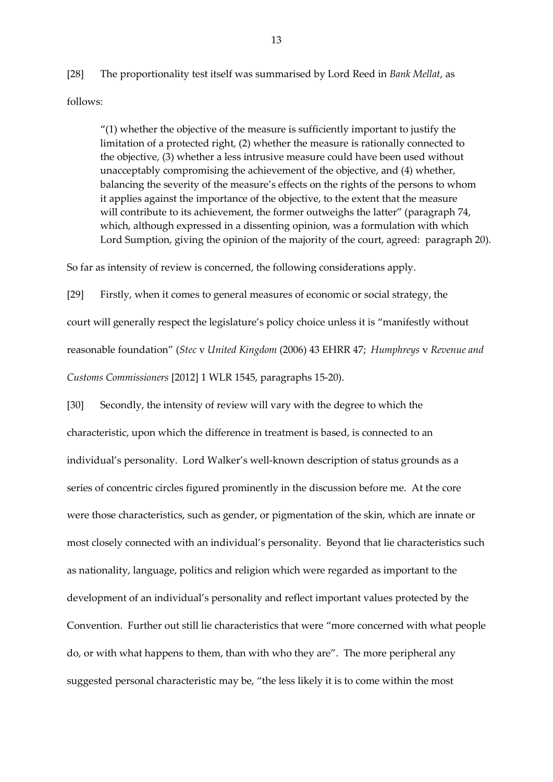[28] The proportionality test itself was summarised by Lord Reed in *Bank Mellat*, as follows:

"(1) whether the objective of the measure is sufficiently important to justify the limitation of a protected right, (2) whether the measure is rationally connected to the objective, (3) whether a less intrusive measure could have been used without unacceptably compromising the achievement of the objective, and (4) whether, balancing the severity of the measure's effects on the rights of the persons to whom it applies against the importance of the objective, to the extent that the measure will contribute to its achievement, the former outweighs the latter" (paragraph 74, which, although expressed in a dissenting opinion, was a formulation with which Lord Sumption, giving the opinion of the majority of the court, agreed: paragraph 20).

So far as intensity of review is concerned, the following considerations apply.

[29] Firstly, when it comes to general measures of economic or social strategy, the court will generally respect the legislature's policy choice unless it is "manifestly without reasonable foundation" (*Stec* v *United Kingdom* (2006) 43 EHRR 47; *Humphreys* v *Revenue and Customs Commissioners* [2012] 1 WLR 1545, paragraphs 15-20).

[30] Secondly, the intensity of review will vary with the degree to which the characteristic, upon which the difference in treatment is based, is connected to an individual's personality. Lord Walker's well-known description of status grounds as a series of concentric circles figured prominently in the discussion before me. At the core were those characteristics, such as gender, or pigmentation of the skin, which are innate or most closely connected with an individual's personality. Beyond that lie characteristics such as nationality, language, politics and religion which were regarded as important to the development of an individual's personality and reflect important values protected by the Convention. Further out still lie characteristics that were "more concerned with what people do, or with what happens to them, than with who they are". The more peripheral any suggested personal characteristic may be, "the less likely it is to come within the most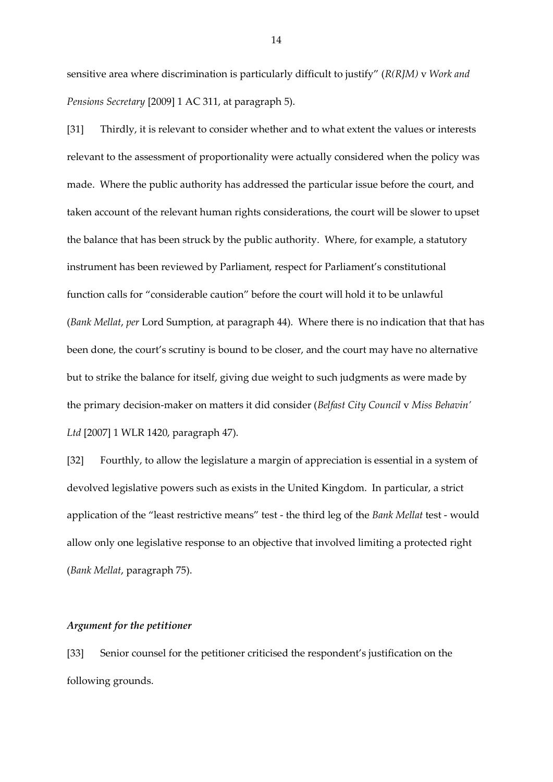sensitive area where discrimination is particularly difficult to justify" (*R(RJM)* v *Work and Pensions Secretary* [2009] 1 AC 311, at paragraph 5).

[31] Thirdly, it is relevant to consider whether and to what extent the values or interests relevant to the assessment of proportionality were actually considered when the policy was made. Where the public authority has addressed the particular issue before the court, and taken account of the relevant human rights considerations, the court will be slower to upset the balance that has been struck by the public authority. Where, for example, a statutory instrument has been reviewed by Parliament, respect for Parliament's constitutional function calls for "considerable caution" before the court will hold it to be unlawful (*Bank Mellat*, *per* Lord Sumption, at paragraph 44). Where there is no indication that that has been done, the court's scrutiny is bound to be closer, and the court may have no alternative but to strike the balance for itself, giving due weight to such judgments as were made by the primary decision-maker on matters it did consider (*Belfast City Council* v *Miss Behavin' Ltd* [2007] 1 WLR 1420, paragraph 47).

[32] Fourthly, to allow the legislature a margin of appreciation is essential in a system of devolved legislative powers such as exists in the United Kingdom. In particular, a strict application of the "least restrictive means" test - the third leg of the *Bank Mellat* test - would allow only one legislative response to an objective that involved limiting a protected right (*Bank Mellat*, paragraph 75).

#### *Argument for the petitioner*

[33] Senior counsel for the petitioner criticised the respondent's justification on the following grounds.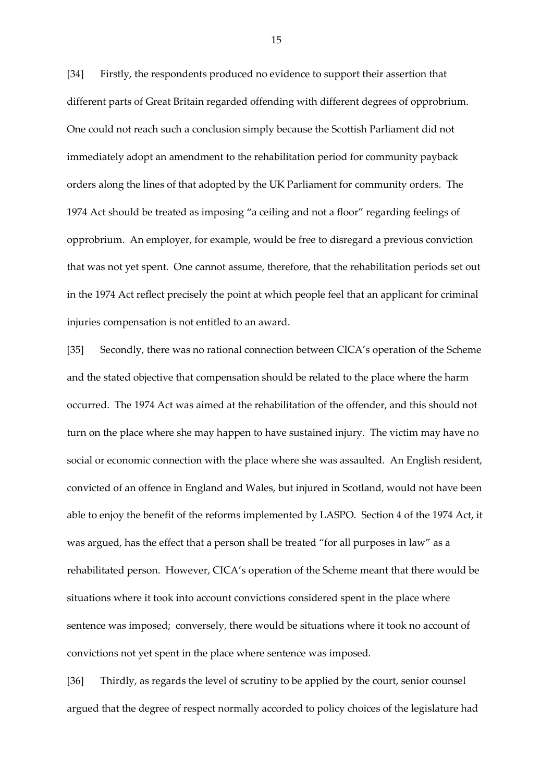[34] Firstly, the respondents produced no evidence to support their assertion that different parts of Great Britain regarded offending with different degrees of opprobrium. One could not reach such a conclusion simply because the Scottish Parliament did not immediately adopt an amendment to the rehabilitation period for community payback orders along the lines of that adopted by the UK Parliament for community orders. The 1974 Act should be treated as imposing "a ceiling and not a floor" regarding feelings of opprobrium. An employer, for example, would be free to disregard a previous conviction that was not yet spent. One cannot assume, therefore, that the rehabilitation periods set out in the 1974 Act reflect precisely the point at which people feel that an applicant for criminal injuries compensation is not entitled to an award.

[35] Secondly, there was no rational connection between CICA's operation of the Scheme and the stated objective that compensation should be related to the place where the harm occurred. The 1974 Act was aimed at the rehabilitation of the offender, and this should not turn on the place where she may happen to have sustained injury. The victim may have no social or economic connection with the place where she was assaulted. An English resident, convicted of an offence in England and Wales, but injured in Scotland, would not have been able to enjoy the benefit of the reforms implemented by LASPO. Section 4 of the 1974 Act, it was argued, has the effect that a person shall be treated "for all purposes in law" as a rehabilitated person. However, CICA's operation of the Scheme meant that there would be situations where it took into account convictions considered spent in the place where sentence was imposed; conversely, there would be situations where it took no account of convictions not yet spent in the place where sentence was imposed.

[36] Thirdly, as regards the level of scrutiny to be applied by the court, senior counsel argued that the degree of respect normally accorded to policy choices of the legislature had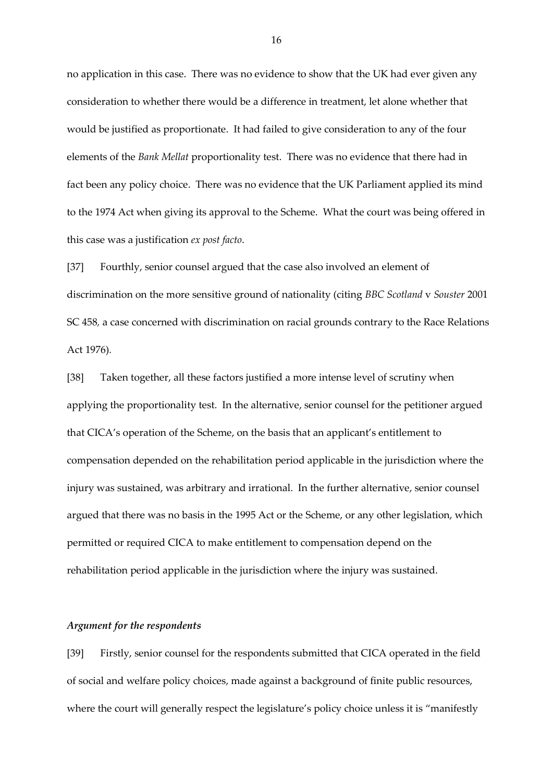no application in this case. There was no evidence to show that the UK had ever given any consideration to whether there would be a difference in treatment, let alone whether that would be justified as proportionate. It had failed to give consideration to any of the four elements of the *Bank Mellat* proportionality test. There was no evidence that there had in fact been any policy choice. There was no evidence that the UK Parliament applied its mind to the 1974 Act when giving its approval to the Scheme. What the court was being offered in this case was a justification *ex post facto*.

[37] Fourthly, senior counsel argued that the case also involved an element of discrimination on the more sensitive ground of nationality (citing *BBC Scotland* v *Souster* 2001 SC 458*,* a case concerned with discrimination on racial grounds contrary to the Race Relations Act 1976)*.*

[38] Taken together, all these factors justified a more intense level of scrutiny when applying the proportionality test. In the alternative, senior counsel for the petitioner argued that CICA's operation of the Scheme, on the basis that an applicant's entitlement to compensation depended on the rehabilitation period applicable in the jurisdiction where the injury was sustained, was arbitrary and irrational. In the further alternative, senior counsel argued that there was no basis in the 1995 Act or the Scheme, or any other legislation, which permitted or required CICA to make entitlement to compensation depend on the rehabilitation period applicable in the jurisdiction where the injury was sustained.

### *Argument for the respondents*

[39] Firstly, senior counsel for the respondents submitted that CICA operated in the field of social and welfare policy choices, made against a background of finite public resources, where the court will generally respect the legislature's policy choice unless it is "manifestly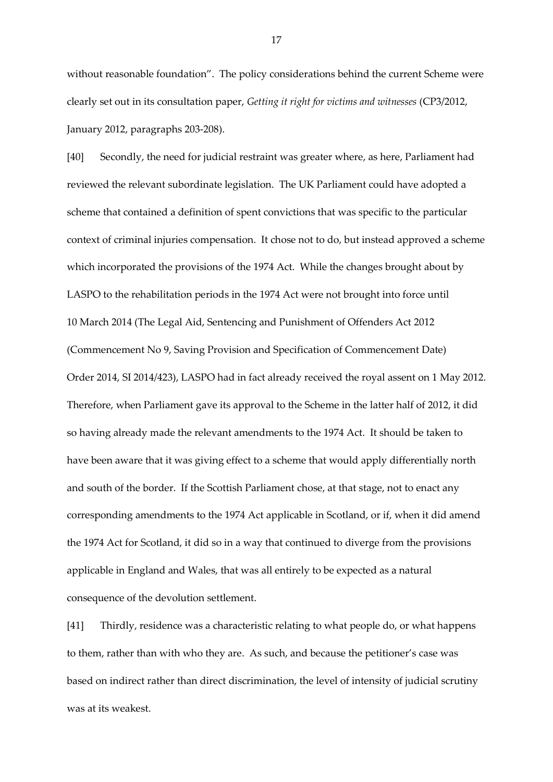without reasonable foundation". The policy considerations behind the current Scheme were clearly set out in its consultation paper, *Getting it right for victims and witnesses* (CP3/2012, January 2012, paragraphs 203-208).

[40] Secondly, the need for judicial restraint was greater where, as here, Parliament had reviewed the relevant subordinate legislation. The UK Parliament could have adopted a scheme that contained a definition of spent convictions that was specific to the particular context of criminal injuries compensation. It chose not to do, but instead approved a scheme which incorporated the provisions of the 1974 Act. While the changes brought about by LASPO to the rehabilitation periods in the 1974 Act were not brought into force until 10 March 2014 (The Legal Aid, Sentencing and Punishment of Offenders Act 2012 (Commencement No 9, Saving Provision and Specification of Commencement Date) Order 2014, SI 2014/423), LASPO had in fact already received the royal assent on 1 May 2012. Therefore, when Parliament gave its approval to the Scheme in the latter half of 2012, it did so having already made the relevant amendments to the 1974 Act. It should be taken to have been aware that it was giving effect to a scheme that would apply differentially north and south of the border. If the Scottish Parliament chose, at that stage, not to enact any corresponding amendments to the 1974 Act applicable in Scotland, or if, when it did amend the 1974 Act for Scotland, it did so in a way that continued to diverge from the provisions applicable in England and Wales, that was all entirely to be expected as a natural consequence of the devolution settlement.

[41] Thirdly, residence was a characteristic relating to what people do, or what happens to them, rather than with who they are. As such, and because the petitioner's case was based on indirect rather than direct discrimination, the level of intensity of judicial scrutiny was at its weakest.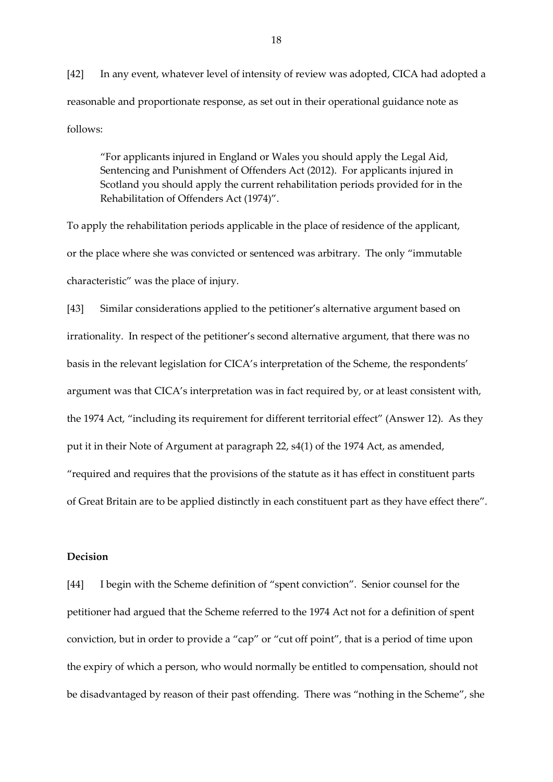[42] In any event, whatever level of intensity of review was adopted, CICA had adopted a reasonable and proportionate response, as set out in their operational guidance note as follows:

"For applicants injured in England or Wales you should apply the Legal Aid, Sentencing and Punishment of Offenders Act (2012). For applicants injured in Scotland you should apply the current rehabilitation periods provided for in the Rehabilitation of Offenders Act (1974)".

To apply the rehabilitation periods applicable in the place of residence of the applicant, or the place where she was convicted or sentenced was arbitrary. The only "immutable characteristic" was the place of injury.

[43] Similar considerations applied to the petitioner's alternative argument based on irrationality. In respect of the petitioner's second alternative argument, that there was no basis in the relevant legislation for CICA's interpretation of the Scheme, the respondents' argument was that CICA's interpretation was in fact required by, or at least consistent with, the 1974 Act, "including its requirement for different territorial effect" (Answer 12). As they put it in their Note of Argument at paragraph 22, s4(1) of the 1974 Act, as amended, "required and requires that the provisions of the statute as it has effect in constituent parts of Great Britain are to be applied distinctly in each constituent part as they have effect there".

## **Decision**

[44] I begin with the Scheme definition of "spent conviction". Senior counsel for the petitioner had argued that the Scheme referred to the 1974 Act not for a definition of spent conviction, but in order to provide a "cap" or "cut off point", that is a period of time upon the expiry of which a person, who would normally be entitled to compensation, should not be disadvantaged by reason of their past offending. There was "nothing in the Scheme", she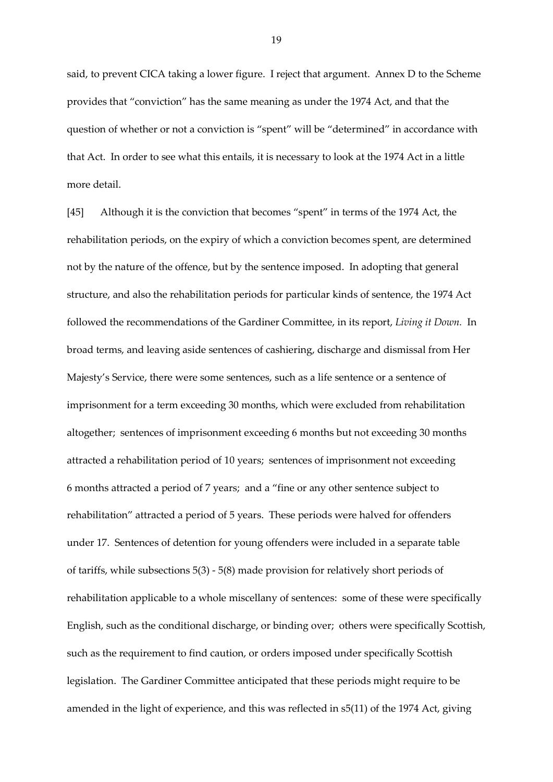said, to prevent CICA taking a lower figure. I reject that argument. Annex D to the Scheme provides that "conviction" has the same meaning as under the 1974 Act, and that the question of whether or not a conviction is "spent" will be "determined" in accordance with that Act. In order to see what this entails, it is necessary to look at the 1974 Act in a little more detail.

[45] Although it is the conviction that becomes "spent" in terms of the 1974 Act, the rehabilitation periods, on the expiry of which a conviction becomes spent, are determined not by the nature of the offence, but by the sentence imposed. In adopting that general structure, and also the rehabilitation periods for particular kinds of sentence, the 1974 Act followed the recommendations of the Gardiner Committee, in its report, *Living it Down.* In broad terms, and leaving aside sentences of cashiering, discharge and dismissal from Her Majesty's Service, there were some sentences, such as a life sentence or a sentence of imprisonment for a term exceeding 30 months, which were excluded from rehabilitation altogether; sentences of imprisonment exceeding 6 months but not exceeding 30 months attracted a rehabilitation period of 10 years; sentences of imprisonment not exceeding 6 months attracted a period of 7 years; and a "fine or any other sentence subject to rehabilitation" attracted a period of 5 years. These periods were halved for offenders under 17. Sentences of detention for young offenders were included in a separate table of tariffs, while subsections 5(3) - 5(8) made provision for relatively short periods of rehabilitation applicable to a whole miscellany of sentences: some of these were specifically English, such as the conditional discharge, or binding over; others were specifically Scottish, such as the requirement to find caution, or orders imposed under specifically Scottish legislation. The Gardiner Committee anticipated that these periods might require to be amended in the light of experience, and this was reflected in s5(11) of the 1974 Act, giving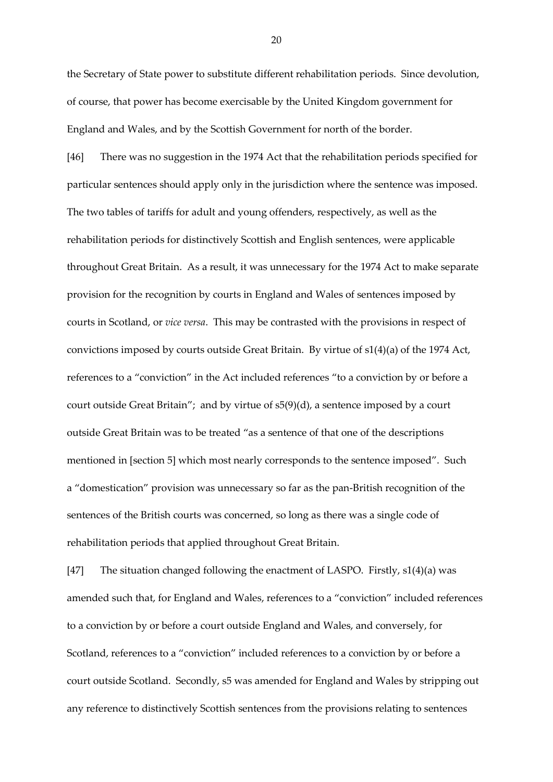the Secretary of State power to substitute different rehabilitation periods. Since devolution, of course, that power has become exercisable by the United Kingdom government for England and Wales, and by the Scottish Government for north of the border.

[46] There was no suggestion in the 1974 Act that the rehabilitation periods specified for particular sentences should apply only in the jurisdiction where the sentence was imposed. The two tables of tariffs for adult and young offenders, respectively, as well as the rehabilitation periods for distinctively Scottish and English sentences, were applicable throughout Great Britain. As a result, it was unnecessary for the 1974 Act to make separate provision for the recognition by courts in England and Wales of sentences imposed by courts in Scotland, or *vice versa*. This may be contrasted with the provisions in respect of convictions imposed by courts outside Great Britain. By virtue of s1(4)(a) of the 1974 Act, references to a "conviction" in the Act included references "to a conviction by or before a court outside Great Britain"; and by virtue of s5(9)(d), a sentence imposed by a court outside Great Britain was to be treated "as a sentence of that one of the descriptions mentioned in [section 5] which most nearly corresponds to the sentence imposed". Such a "domestication" provision was unnecessary so far as the pan-British recognition of the sentences of the British courts was concerned, so long as there was a single code of rehabilitation periods that applied throughout Great Britain.

[47] The situation changed following the enactment of LASPO. Firstly, s1(4)(a) was amended such that, for England and Wales, references to a "conviction" included references to a conviction by or before a court outside England and Wales, and conversely, for Scotland, references to a "conviction" included references to a conviction by or before a court outside Scotland. Secondly, s5 was amended for England and Wales by stripping out any reference to distinctively Scottish sentences from the provisions relating to sentences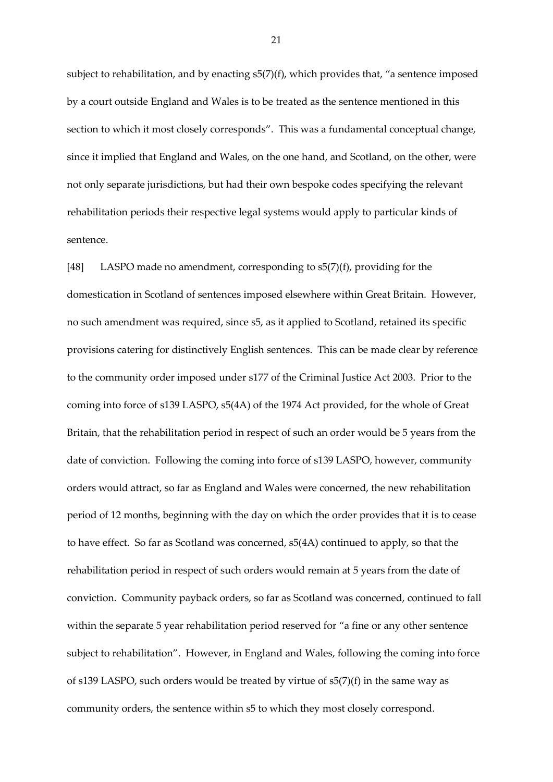subject to rehabilitation, and by enacting s5(7)(f), which provides that, "a sentence imposed by a court outside England and Wales is to be treated as the sentence mentioned in this section to which it most closely corresponds". This was a fundamental conceptual change, since it implied that England and Wales, on the one hand, and Scotland, on the other, were not only separate jurisdictions, but had their own bespoke codes specifying the relevant rehabilitation periods their respective legal systems would apply to particular kinds of sentence.

[48] LASPO made no amendment, corresponding to s5(7)(f), providing for the domestication in Scotland of sentences imposed elsewhere within Great Britain. However, no such amendment was required, since s5, as it applied to Scotland, retained its specific provisions catering for distinctively English sentences. This can be made clear by reference to the community order imposed under s177 of the Criminal Justice Act 2003. Prior to the coming into force of s139 LASPO, s5(4A) of the 1974 Act provided, for the whole of Great Britain, that the rehabilitation period in respect of such an order would be 5 years from the date of conviction. Following the coming into force of s139 LASPO, however, community orders would attract, so far as England and Wales were concerned, the new rehabilitation period of 12 months, beginning with the day on which the order provides that it is to cease to have effect. So far as Scotland was concerned, s5(4A) continued to apply, so that the rehabilitation period in respect of such orders would remain at 5 years from the date of conviction. Community payback orders, so far as Scotland was concerned, continued to fall within the separate 5 year rehabilitation period reserved for "a fine or any other sentence subject to rehabilitation". However, in England and Wales, following the coming into force of s139 LASPO, such orders would be treated by virtue of s5(7)(f) in the same way as community orders, the sentence within s5 to which they most closely correspond.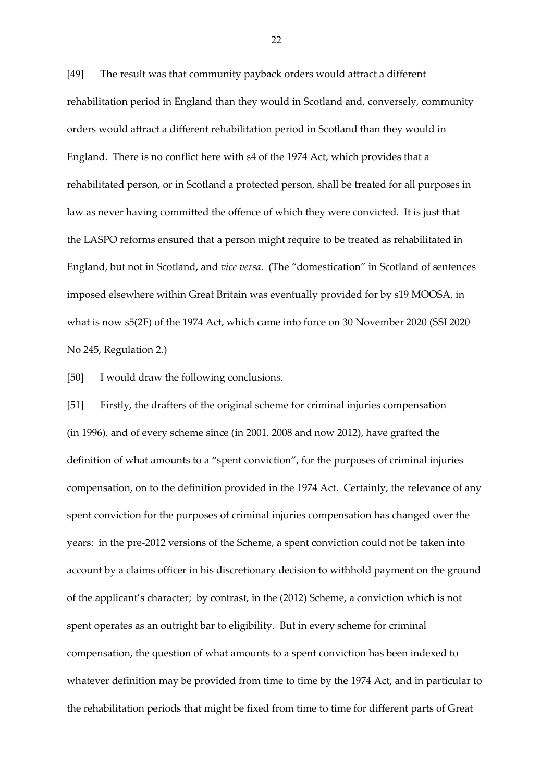[49] The result was that community payback orders would attract a different rehabilitation period in England than they would in Scotland and, conversely, community orders would attract a different rehabilitation period in Scotland than they would in England. There is no conflict here with s4 of the 1974 Act, which provides that a rehabilitated person, or in Scotland a protected person, shall be treated for all purposes in law as never having committed the offence of which they were convicted. It is just that the LASPO reforms ensured that a person might require to be treated as rehabilitated in England, but not in Scotland, and *vice versa*. (The "domestication" in Scotland of sentences imposed elsewhere within Great Britain was eventually provided for by s19 MOOSA, in what is now s5(2F) of the 1974 Act, which came into force on 30 November 2020 (SSI 2020 No 245, Regulation 2.)

[50] I would draw the following conclusions.

[51] Firstly, the drafters of the original scheme for criminal injuries compensation (in 1996), and of every scheme since (in 2001, 2008 and now 2012), have grafted the definition of what amounts to a "spent conviction", for the purposes of criminal injuries compensation, on to the definition provided in the 1974 Act. Certainly, the relevance of any spent conviction for the purposes of criminal injuries compensation has changed over the years: in the pre-2012 versions of the Scheme, a spent conviction could not be taken into account by a claims officer in his discretionary decision to withhold payment on the ground of the applicant's character; by contrast, in the (2012) Scheme, a conviction which is not spent operates as an outright bar to eligibility. But in every scheme for criminal compensation, the question of what amounts to a spent conviction has been indexed to whatever definition may be provided from time to time by the 1974 Act, and in particular to the rehabilitation periods that might be fixed from time to time for different parts of Great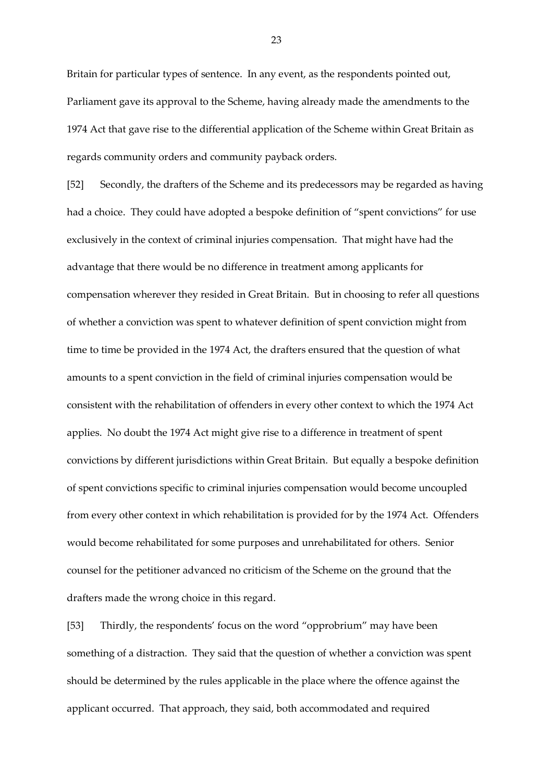Britain for particular types of sentence. In any event, as the respondents pointed out, Parliament gave its approval to the Scheme, having already made the amendments to the 1974 Act that gave rise to the differential application of the Scheme within Great Britain as regards community orders and community payback orders.

[52] Secondly, the drafters of the Scheme and its predecessors may be regarded as having had a choice. They could have adopted a bespoke definition of "spent convictions" for use exclusively in the context of criminal injuries compensation. That might have had the advantage that there would be no difference in treatment among applicants for compensation wherever they resided in Great Britain. But in choosing to refer all questions of whether a conviction was spent to whatever definition of spent conviction might from time to time be provided in the 1974 Act, the drafters ensured that the question of what amounts to a spent conviction in the field of criminal injuries compensation would be consistent with the rehabilitation of offenders in every other context to which the 1974 Act applies. No doubt the 1974 Act might give rise to a difference in treatment of spent convictions by different jurisdictions within Great Britain. But equally a bespoke definition of spent convictions specific to criminal injuries compensation would become uncoupled from every other context in which rehabilitation is provided for by the 1974 Act. Offenders would become rehabilitated for some purposes and unrehabilitated for others. Senior counsel for the petitioner advanced no criticism of the Scheme on the ground that the drafters made the wrong choice in this regard.

[53] Thirdly, the respondents' focus on the word "opprobrium" may have been something of a distraction. They said that the question of whether a conviction was spent should be determined by the rules applicable in the place where the offence against the applicant occurred. That approach, they said, both accommodated and required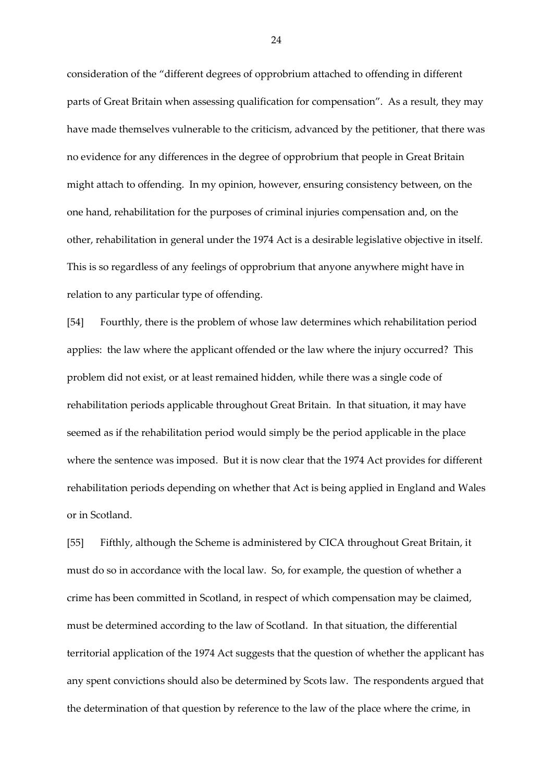consideration of the "different degrees of opprobrium attached to offending in different parts of Great Britain when assessing qualification for compensation". As a result, they may have made themselves vulnerable to the criticism, advanced by the petitioner, that there was no evidence for any differences in the degree of opprobrium that people in Great Britain might attach to offending. In my opinion, however, ensuring consistency between, on the one hand, rehabilitation for the purposes of criminal injuries compensation and, on the other, rehabilitation in general under the 1974 Act is a desirable legislative objective in itself. This is so regardless of any feelings of opprobrium that anyone anywhere might have in relation to any particular type of offending.

[54] Fourthly, there is the problem of whose law determines which rehabilitation period applies: the law where the applicant offended or the law where the injury occurred? This problem did not exist, or at least remained hidden, while there was a single code of rehabilitation periods applicable throughout Great Britain. In that situation, it may have seemed as if the rehabilitation period would simply be the period applicable in the place where the sentence was imposed. But it is now clear that the 1974 Act provides for different rehabilitation periods depending on whether that Act is being applied in England and Wales or in Scotland.

[55] Fifthly, although the Scheme is administered by CICA throughout Great Britain, it must do so in accordance with the local law. So, for example, the question of whether a crime has been committed in Scotland, in respect of which compensation may be claimed, must be determined according to the law of Scotland. In that situation, the differential territorial application of the 1974 Act suggests that the question of whether the applicant has any spent convictions should also be determined by Scots law. The respondents argued that the determination of that question by reference to the law of the place where the crime, in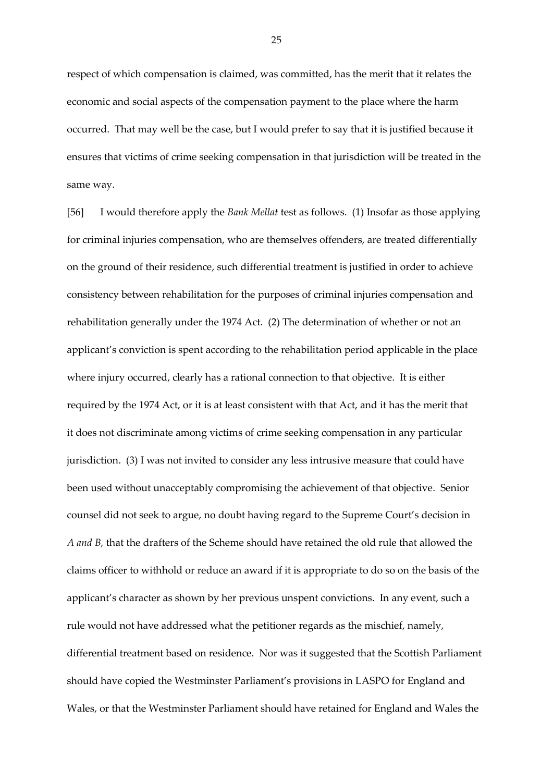respect of which compensation is claimed, was committed, has the merit that it relates the economic and social aspects of the compensation payment to the place where the harm occurred. That may well be the case, but I would prefer to say that it is justified because it ensures that victims of crime seeking compensation in that jurisdiction will be treated in the same way.

[56] I would therefore apply the *Bank Mellat* test as follows. (1) Insofar as those applying for criminal injuries compensation, who are themselves offenders, are treated differentially on the ground of their residence, such differential treatment is justified in order to achieve consistency between rehabilitation for the purposes of criminal injuries compensation and rehabilitation generally under the 1974 Act. (2) The determination of whether or not an applicant's conviction is spent according to the rehabilitation period applicable in the place where injury occurred, clearly has a rational connection to that objective. It is either required by the 1974 Act, or it is at least consistent with that Act, and it has the merit that it does not discriminate among victims of crime seeking compensation in any particular jurisdiction. (3) I was not invited to consider any less intrusive measure that could have been used without unacceptably compromising the achievement of that objective. Senior counsel did not seek to argue, no doubt having regard to the Supreme Court's decision in *A and B,* that the drafters of the Scheme should have retained the old rule that allowed the claims officer to withhold or reduce an award if it is appropriate to do so on the basis of the applicant's character as shown by her previous unspent convictions. In any event, such a rule would not have addressed what the petitioner regards as the mischief, namely, differential treatment based on residence. Nor was it suggested that the Scottish Parliament should have copied the Westminster Parliament's provisions in LASPO for England and Wales, or that the Westminster Parliament should have retained for England and Wales the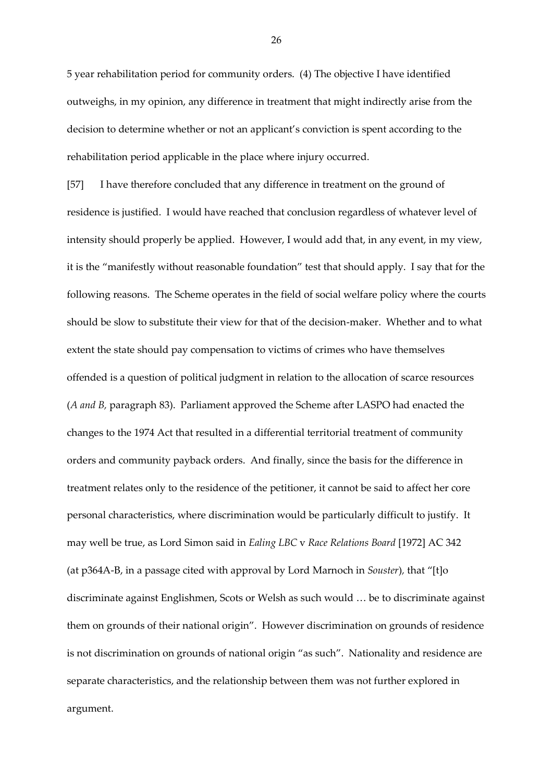5 year rehabilitation period for community orders. (4) The objective I have identified outweighs, in my opinion, any difference in treatment that might indirectly arise from the decision to determine whether or not an applicant's conviction is spent according to the rehabilitation period applicable in the place where injury occurred.

[57] I have therefore concluded that any difference in treatment on the ground of residence is justified. I would have reached that conclusion regardless of whatever level of intensity should properly be applied. However, I would add that, in any event, in my view, it is the "manifestly without reasonable foundation" test that should apply. I say that for the following reasons. The Scheme operates in the field of social welfare policy where the courts should be slow to substitute their view for that of the decision-maker. Whether and to what extent the state should pay compensation to victims of crimes who have themselves offended is a question of political judgment in relation to the allocation of scarce resources (*A and B,* paragraph 83). Parliament approved the Scheme after LASPO had enacted the changes to the 1974 Act that resulted in a differential territorial treatment of community orders and community payback orders. And finally, since the basis for the difference in treatment relates only to the residence of the petitioner, it cannot be said to affect her core personal characteristics, where discrimination would be particularly difficult to justify. It may well be true, as Lord Simon said in *Ealing LBC* v *Race Relations Board* [1972] AC 342 (at p364A-B, in a passage cited with approval by Lord Marnoch in *Souster*)*,* that "[t]o discriminate against Englishmen, Scots or Welsh as such would … be to discriminate against them on grounds of their national origin". However discrimination on grounds of residence is not discrimination on grounds of national origin "as such". Nationality and residence are separate characteristics, and the relationship between them was not further explored in argument.